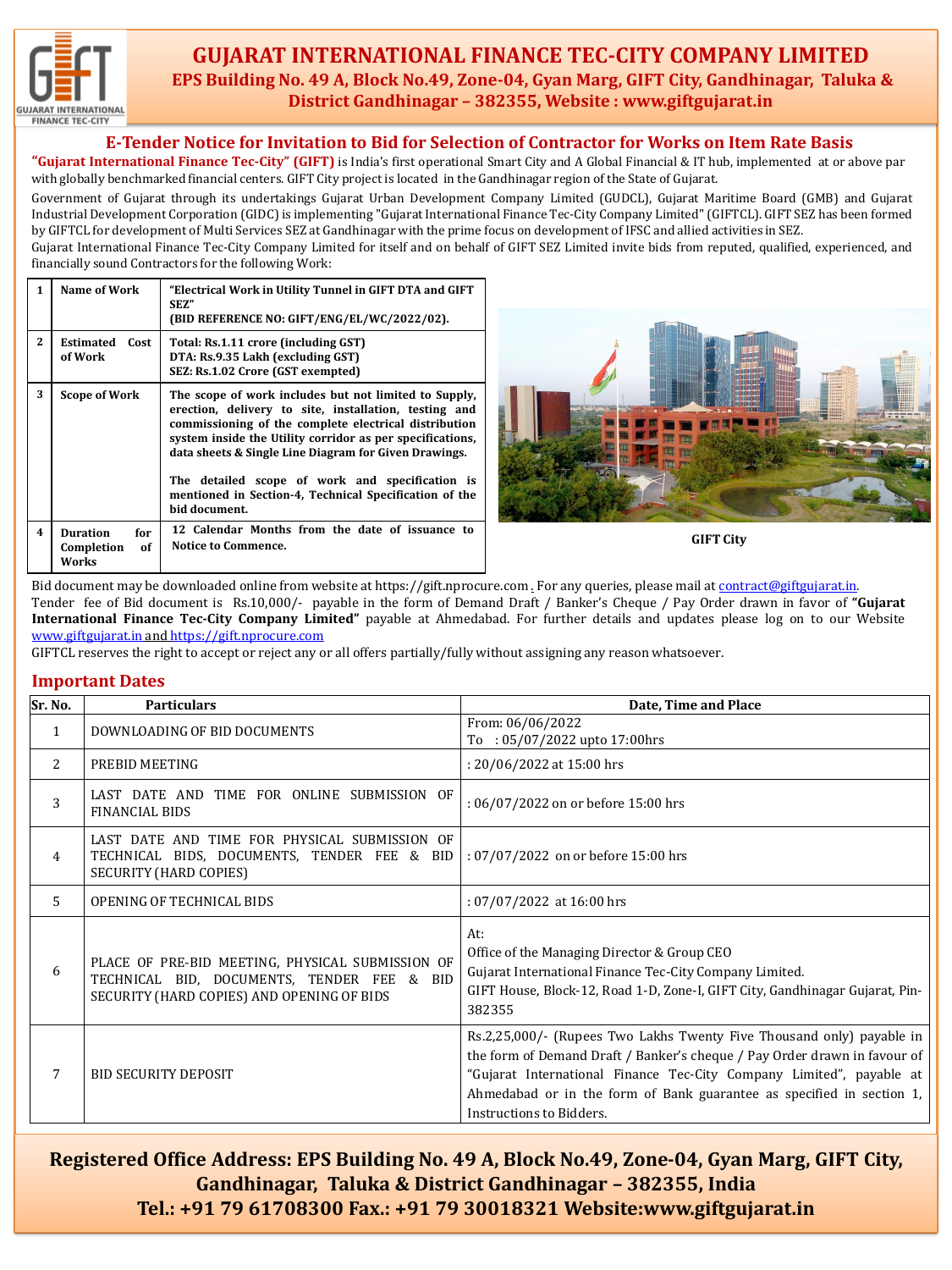

### **GUJARAT INTERNATIONAL FINANCE TEC-CITY COMPANY LIMITED EPS Building No. 49 A, Block No.49, Zone-04, Gyan Marg, GIFT City, Gandhinagar, Taluka & District Gandhinagar – 382355, Website : www.giftgujarat.in**

### **E-Tender Notice for Invitation to Bid for Selection of Contractor for Works on Item Rate Basis**

**"Gujarat International Finance Tec-City" (GIFT)** is India's first operational Smart City and A Global Financial & IT hub, implemented at or above par with globally benchmarked financial centers. GIFT City project is located in the Gandhinagar region of the State of Gujarat.

Government of Gujarat through its undertakings Gujarat Urban Development Company Limited (GUDCL), Gujarat Maritime Board (GMB) and Gujarat Industrial Development Corporation (GIDC) is implementing "Gujarat International Finance Tec-City Company Limited" (GIFTCL). GIFT SEZ has been formed by GIFTCL for development of Multi Services SEZ at Gandhinagar with the prime focus on development of IFSC and allied activities in SEZ.

Gujarat International Finance Tec-City Company Limited for itself and on behalf of GIFT SEZ Limited invite bids from reputed, qualified, experienced, and financially sound Contractors for the following Work:

| 1                       | Name of Work                                        | "Electrical Work in Utility Tunnel in GIFT DTA and GIFT<br>SEZ"<br>(BID REFERENCE NO: GIFT/ENG/EL/WC/2022/02).                                                                                                                                                                                                                                                                                                              |
|-------------------------|-----------------------------------------------------|-----------------------------------------------------------------------------------------------------------------------------------------------------------------------------------------------------------------------------------------------------------------------------------------------------------------------------------------------------------------------------------------------------------------------------|
| $\mathbf{2}$            | <b>Estimated</b><br>Cost<br>of Work                 | Total: Rs.1.11 crore (including GST)<br>DTA: Rs.9.35 Lakh (excluding GST)<br>SEZ: Rs.1.02 Crore (GST exempted)                                                                                                                                                                                                                                                                                                              |
| 3                       | <b>Scope of Work</b>                                | The scope of work includes but not limited to Supply,<br>erection, delivery to site, installation, testing and<br>commissioning of the complete electrical distribution<br>system inside the Utility corridor as per specifications,<br>data sheets & Single Line Diagram for Given Drawings.<br>The detailed scope of work and specification is<br>mentioned in Section-4, Technical Specification of the<br>bid document. |
| $\overline{\mathbf{4}}$ | <b>Duration</b><br>for<br>Completion<br>of<br>Works | 12 Calendar Months from the date of issuance to<br>Notice to Commence.                                                                                                                                                                                                                                                                                                                                                      |



**GIFT City**

Bid document may be downloaded online from website at https://gift.nprocure.com . For any queries, please mail at [contract@giftgujarat.in](mailto:contract@giftgujarat.in). Tender fee of Bid document is Rs.10,000/- payable in the form of Demand Draft / Banker's Cheque / Pay Order drawn in favor of **"Gujarat International Finance Tec-City Company Limited"** payable at Ahmedabad. For further details and updates please log on to our Website [www.giftgujarat.in](http://www.giftgujarat.in/) and [https://gift.nprocure.com](mailto:upd@giftgujarat.in)

GIFTCL reserves the right to accept or reject any or all offers partially/fully without assigning any reason whatsoever.

#### **Important Dates**

| Sr. No.      | <b>Particulars</b>                                                                                                                                                  | Date, Time and Place                                                                                                                                                                                                                                                                                                            |
|--------------|---------------------------------------------------------------------------------------------------------------------------------------------------------------------|---------------------------------------------------------------------------------------------------------------------------------------------------------------------------------------------------------------------------------------------------------------------------------------------------------------------------------|
| $\mathbf{1}$ | DOWNLOADING OF BID DOCUMENTS                                                                                                                                        | From: 06/06/2022<br>To: 05/07/2022 upto 17:00hrs                                                                                                                                                                                                                                                                                |
| 2            | PREBID MEETING                                                                                                                                                      | : 20/06/2022 at 15:00 hrs                                                                                                                                                                                                                                                                                                       |
| 3            | LAST DATE AND TIME FOR ONLINE SUBMISSION OF<br><b>FINANCIAL BIDS</b>                                                                                                | : 06/07/2022 on or before 15:00 hrs                                                                                                                                                                                                                                                                                             |
| 4            | LAST DATE AND TIME FOR PHYSICAL SUBMISSION OF<br>TECHNICAL BIDS, DOCUMENTS, TENDER FEE & BID   : 07/07/2022 on or before 15:00 hrs<br><b>SECURITY (HARD COPIES)</b> |                                                                                                                                                                                                                                                                                                                                 |
| 5            | OPENING OF TECHNICAL BIDS                                                                                                                                           | : $07/07/2022$ at 16:00 hrs                                                                                                                                                                                                                                                                                                     |
| 6            | PLACE OF PRE-BID MEETING, PHYSICAL SUBMISSION OF<br>TECHNICAL BID, DOCUMENTS, TENDER FEE & BID<br>SECURITY (HARD COPIES) AND OPENING OF BIDS                        | At:<br>Office of the Managing Director & Group CEO<br>Gujarat International Finance Tec-City Company Limited.<br>GIFT House, Block-12, Road 1-D, Zone-I, GIFT City, Gandhinagar Gujarat, Pin-<br>382355                                                                                                                         |
| 7            | <b>BID SECURITY DEPOSIT</b>                                                                                                                                         | Rs.2,25,000/- (Rupees Two Lakhs Twenty Five Thousand only) payable in<br>the form of Demand Draft / Banker's cheque / Pay Order drawn in favour of<br>"Gujarat International Finance Tec-City Company Limited", payable at<br>Ahmedabad or in the form of Bank guarantee as specified in section 1,<br>Instructions to Bidders. |

**Registered Office Address: EPS Building No. 49 A, Block No.49, Zone-04, Gyan Marg, GIFT City, Gandhinagar, Taluka & District Gandhinagar – 382355, India Tel.: +91 79 61708300 Fax.: +91 79 30018321 Website:www.giftgujarat.in**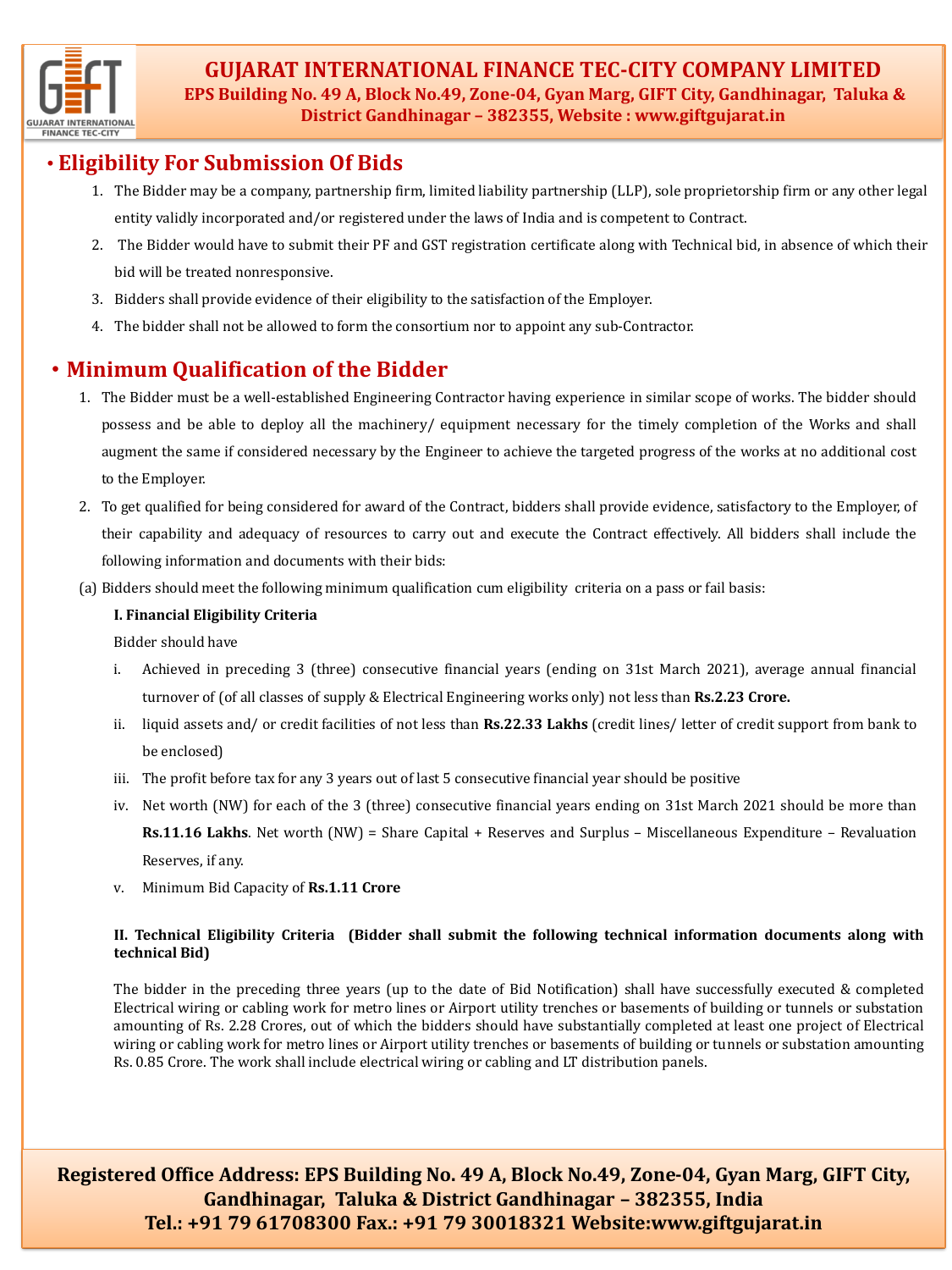

**GUJARAT INTERNATIONAL FINANCE TEC-CITY COMPANY LIMITED EPS Building No. 49 A, Block No.49, Zone-04, Gyan Marg, GIFT City, Gandhinagar, Taluka & District Gandhinagar – 382355, Website : www.giftgujarat.in**

## • **Eligibility For Submission Of Bids**

- 1. The Bidder may be a company, partnership firm, limited liability partnership (LLP), sole proprietorship firm or any other legal entity validly incorporated and/or registered under the laws of India and is competent to Contract.
- 2. The Bidder would have to submit their PF and GST registration certificate along with Technical bid, in absence of which their bid will be treated nonresponsive.
- 3. Bidders shall provide evidence of their eligibility to the satisfaction of the Employer.
- 4. The bidder shall not be allowed to form the consortium nor to appoint any sub-Contractor.

# • **Minimum Qualification of the Bidder**

- 1. The Bidder must be a well-established Engineering Contractor having experience in similar scope of works. The bidder should possess and be able to deploy all the machinery/ equipment necessary for the timely completion of the Works and shall augment the same if considered necessary by the Engineer to achieve the targeted progress of the works at no additional cost to the Employer.
- 2. To get qualified for being considered for award of the Contract, bidders shall provide evidence, satisfactory to the Employer, of their capability and adequacy of resources to carry out and execute the Contract effectively. All bidders shall include the following information and documents with their bids:
- (a) Bidders should meet the following minimum qualification cum eligibility criteria on a pass or fail basis:

#### **I. Financial Eligibility Criteria**

Bidder should have

- i. Achieved in preceding 3 (three) consecutive financial years (ending on 31st March 2021), average annual financial turnover of (of all classes of supply & Electrical Engineering works only) not less than **Rs.2.23 Crore.**
- ii. liquid assets and/ or credit facilities of not less than **Rs.22.33 Lakhs** (credit lines/ letter of credit support from bank to be enclosed)
- iii. The profit before tax for any 3 years out of last 5 consecutive financial year should be positive
- iv. Net worth (NW) for each of the 3 (three) consecutive financial years ending on 31st March 2021 should be more than **Rs.11.16 Lakhs**. Net worth (NW) = Share Capital + Reserves and Surplus – Miscellaneous Expenditure – Revaluation Reserves, if any.
- v. Minimum Bid Capacity of **Rs.1.11 Crore**

### **II. Technical Eligibility Criteria (Bidder shall submit the following technical information documents along with technical Bid)**

The bidder in the preceding three years (up to the date of Bid Notification) shall have successfully executed & completed Electrical wiring or cabling work for metro lines or Airport utility trenches or basements of building or tunnels or substation amounting of Rs. 2.28 Crores, out of which the bidders should have substantially completed at least one project of Electrical wiring or cabling work for metro lines or Airport utility trenches or basements of building or tunnels or substation amounting Rs. 0.85 Crore. The work shall include electrical wiring or cabling and LT distribution panels.

**Registered Office Address: EPS Building No. 49 A, Block No.49, Zone-04, Gyan Marg, GIFT City, Gandhinagar, Taluka & District Gandhinagar – 382355, India Tel.: +91 79 61708300 Fax.: +91 79 30018321 Website:www.giftgujarat.in**